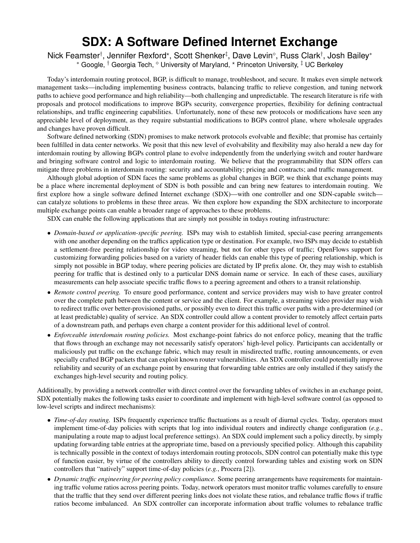## **SDX: A Software Defined Internet Exchange**

Nick Feamster†, Jennifer Rexford\*, Scott Shenker‡, Dave Levin°, Russ Clark†, Josh Bailey\* \* Google, <sup>†</sup> Georgia Tech,  $^{\circ}$  University of Maryland, \* Princeton University, <sup>‡</sup> UC Berkeley

Today's interdomain routing protocol, BGP, is difficult to manage, troubleshoot, and secure. It makes even simple network management tasks—including implementing business contracts, balancing traffic to relieve congestion, and tuning network paths to achieve good performance and high reliability—both challenging and unpredictable. The research literature is rife with proposals and protocol modifications to improve BGPs security, convergence properties, flexibility for defining contractual relationships, and traffic engineering capabilities. Unfortunately, none of these new protocols or modifications have seen any appreciable level of deployment, as they require substantial modifications to BGPs control plane, where wholesale upgrades and changes have proven difficult.

Software defined networking (SDN) promises to make network protocols evolvable and flexible; that promise has certainly been fulfilled in data center networks. We posit that this new level of evolvability and flexibility may also herald a new day for interdomain routing by allowing BGPs control plane to evolve independently from the underlying switch and router hardware and bringing software control and logic to interdomain routing. We believe that the programmability that SDN offers can mitigate three problems in interdomain routing: security and accountability; pricing and contracts; and traffic management.

Although global adoption of SDN faces the same problems as global changes in BGP, we think that exchange points may be a place where incremental deployment of SDN is both possible and can bring new features to interdomain routing. We first explore how a single software defined Internet exchange (SDX)—with one controller and one SDN-capable switch can catalyze solutions to problems in these three areas. We then explore how expanding the SDX architecture to incorporate multiple exchange points can enable a broader range of approaches to these problems.

SDX can enable the following applications that are simply not possible in todays routing infrastructure:

- *Domain-based or application-specific peering.* ISPs may wish to establish limited, special-case peering arrangements with one another depending on the traffics application type or destination. For example, two ISPs may decide to establish a settlement-free peering relationship for video streaming, but not for other types of traffic; OpenFlows support for customizing forwarding policies based on a variety of header fields can enable this type of peering relationship, which is simply not possible in BGP today, where peering policies are dictated by IP prefix alone. Or, they may wish to establish peering for traffic that is destined only to a particular DNS domain name or service. In each of these cases, auxiliary measurements can help associate specific traffic flows to a peering agreement and others to a transit relationship.
- *Remote control peering.* To ensure good performance, content and service providers may wish to have greater control over the complete path between the content or service and the client. For example, a streaming video provider may wish to redirect traffic over better-provisioned paths, or possibly even to direct this traffic over paths with a pre-determined (or at least predictable) quality of service. An SDX controller could allow a content provider to remotely affect certain parts of a downstream path, and perhaps even charge a content provider for this additional level of control.
- *Enforceable interdomain routing policies.* Most exchange-point fabrics do not enforce policy, meaning that the traffic that flows through an exchange may not necessarily satisfy operators' high-level policy. Participants can accidentally or maliciously put traffic on the exchange fabric, which may result in misdirected traffic, routing announcements, or even specially crafted BGP packets that can exploit known router vulnerabilities. An SDX controller could potentially improve reliability and security of an exchange point by ensuring that forwarding table entries are only installed if they satisfy the exchanges high-level security and routing policy.

Additionally, by providing a network controller with direct control over the forwarding tables of switches in an exchange point, SDX potentially makes the following tasks easier to coordinate and implement with high-level software control (as opposed to low-level scripts and indirect mechanisms):

- *Time-of-day routing.* ISPs frequently experience traffic fluctuations as a result of diurnal cycles. Today, operators must implement time-of-day policies with scripts that log into individual routers and indirectly change configuration (*e.g.*, manipulating a route map to adjust local preference settings). An SDX could implement such a policy directly, by simply updating forwarding table entries at the appropriate time, based on a previously specified policy. Although this capability is technically possible in the context of todays interdomain routing protocols, SDN control can potentially make this type of function easier, by virtue of the controllers ability to directly control forwarding tables and existing work on SDN controllers that "natively" support time-of-day policies (*e.g.*, Procera [2]).
- *Dynamic traffic engineering for peering policy compliance.* Some peering arrangements have requirements for maintaining traffic volume ratios across peering points. Today, network operators must monitor traffic volumes carefully to ensure that the traffic that they send over different peering links does not violate these ratios, and rebalance traffic flows if traffic ratios become imbalanced. An SDX controller can incorporate information about traffic volumes to rebalance traffic